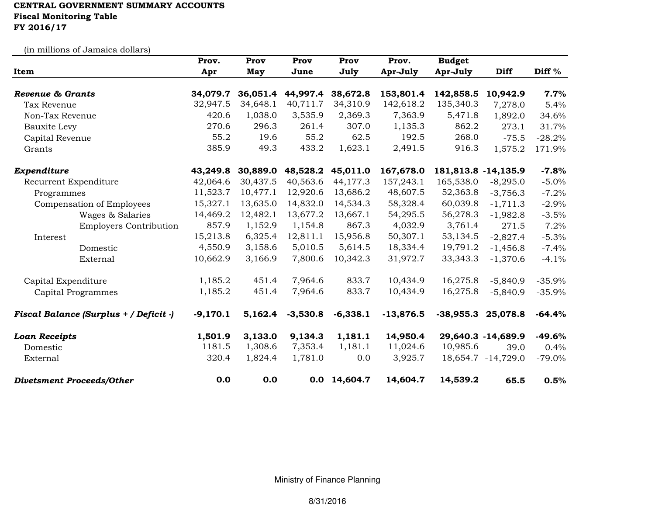## CENTRAL GOVERNMENT SUMMARY ACCOUNTS Fiscal Monitoring TableFY 2016/17

(in millions of Jamaica dollars)

|                                        | Prov.      | Prov     | Prov       | Prov       | Prov.       | <b>Budget</b>       |                    |                   |
|----------------------------------------|------------|----------|------------|------------|-------------|---------------------|--------------------|-------------------|
| Item                                   | Apr        | May      | June       | July       | Apr-July    | Apr-July            | <b>Diff</b>        | Diff <sup>%</sup> |
| <b>Revenue &amp; Grants</b>            | 34,079.7   | 36,051.4 | 44,997.4   | 38,672.8   | 153,801.4   | 142,858.5           | 10,942.9           | 7.7%              |
| <b>Tax Revenue</b>                     | 32,947.5   | 34,648.1 | 40,711.7   | 34,310.9   | 142,618.2   | 135,340.3           | 7,278.0            | 5.4%              |
| Non-Tax Revenue                        | 420.6      | 1,038.0  | 3,535.9    | 2,369.3    | 7,363.9     | 5,471.8             | 1,892.0            | 34.6%             |
| <b>Bauxite Levy</b>                    | 270.6      | 296.3    | 261.4      | 307.0      | 1,135.3     | 862.2               | 273.1              | 31.7%             |
| Capital Revenue                        | 55.2       | 19.6     | 55.2       | 62.5       | 192.5       | 268.0               | $-75.5$            | $-28.2%$          |
| Grants                                 | 385.9      | 49.3     | 433.2      | 1,623.1    | 2,491.5     | 916.3               | 1,575.2            | 171.9%            |
| Expenditure                            | 43,249.8   | 30,889.0 | 48,528.2   | 45,011.0   | 167,678.0   | 181,813.8 -14,135.9 |                    | $-7.8%$           |
| Recurrent Expenditure                  | 42,064.6   | 30,437.5 | 40,563.6   | 44,177.3   | 157,243.1   | 165,538.0           | $-8,295.0$         | $-5.0%$           |
| Programmes                             | 11,523.7   | 10,477.1 | 12,920.6   | 13,686.2   | 48,607.5    | 52,363.8            | $-3,756.3$         | $-7.2%$           |
| Compensation of Employees              | 15,327.1   | 13,635.0 | 14,832.0   | 14,534.3   | 58,328.4    | 60,039.8            | $-1,711.3$         | $-2.9%$           |
| Wages & Salaries                       | 14,469.2   | 12,482.1 | 13,677.2   | 13,667.1   | 54,295.5    | 56,278.3            | $-1,982.8$         | $-3.5%$           |
| <b>Employers Contribution</b>          | 857.9      | 1,152.9  | 1,154.8    | 867.3      | 4,032.9     | 3,761.4             | 271.5              | 7.2%              |
| Interest                               | 15,213.8   | 6,325.4  | 12,811.1   | 15,956.8   | 50,307.1    | 53,134.5            | $-2,827.4$         | $-5.3%$           |
| Domestic                               | 4,550.9    | 3,158.6  | 5,010.5    | 5,614.5    | 18,334.4    | 19,791.2            | $-1,456.8$         | $-7.4%$           |
| External                               | 10,662.9   | 3,166.9  | 7,800.6    | 10,342.3   | 31,972.7    | 33, 343. 3          | $-1,370.6$         | $-4.1%$           |
| Capital Expenditure                    | 1,185.2    | 451.4    | 7,964.6    | 833.7      | 10,434.9    | 16,275.8            | $-5,840.9$         | $-35.9%$          |
| <b>Capital Programmes</b>              | 1,185.2    | 451.4    | 7,964.6    | 833.7      | 10,434.9    | 16,275.8            | $-5,840.9$         | $-35.9%$          |
| Fiscal Balance (Surplus + / Deficit -) | $-9,170.1$ | 5,162.4  | $-3,530.8$ | $-6,338.1$ | $-13,876.5$ | $-38,955.3$         | 25,078.8           | $-64.4%$          |
| <b>Loan Receipts</b>                   | 1,501.9    | 3,133.0  | 9,134.3    | 1,181.1    | 14,950.4    |                     | 29,640.3 -14,689.9 | $-49.6%$          |
| Domestic                               | 1181.5     | 1,308.6  | 7,353.4    | 1,181.1    | 11,024.6    | 10,985.6            | 39.0               | 0.4%              |
| External                               | 320.4      | 1,824.4  | 1,781.0    | 0.0        | 3,925.7     |                     | 18,654.7 -14,729.0 | $-79.0\%$         |
| <b>Divetsment Proceeds/Other</b>       | 0.0        | 0.0      | 0.0        | 14,604.7   | 14,604.7    | 14,539.2            | 65.5               | 0.5%              |

Ministry of Finance Planning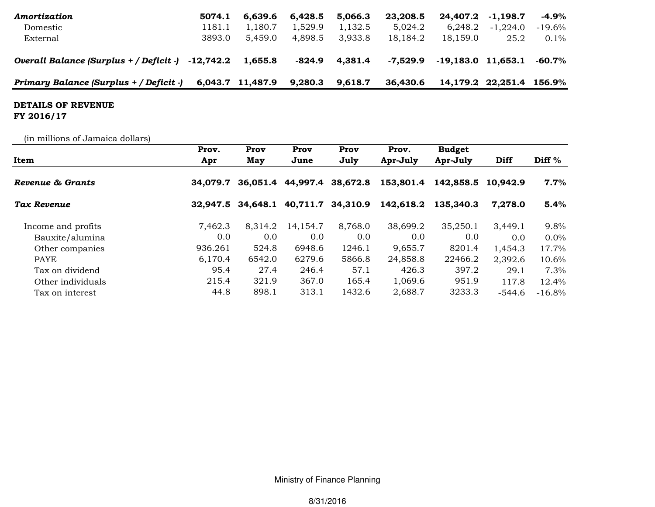| Amortization                                                     | 5074.1 | 6.639.6          | 6.428.5 | 5.066.3            | 23,208.5 | 24,407.2               | $-1.198.7$               | -4.9%     |
|------------------------------------------------------------------|--------|------------------|---------|--------------------|----------|------------------------|--------------------------|-----------|
| Domestic                                                         | 1181.1 | 1.180.7          | 1,529.9 | 1.132.5            | 5.024.2  | 6.248.2                | $-1.224.0$               | $-19.6\%$ |
| External                                                         | 3893.0 | 5.459.0          | 4.898.5 | 3.933.8            | 18,184.2 | 18,159.0               | 25.2                     | $0.1\%$   |
| Overall Balance (Surplus $+$ / Deficit $-$ ) $-12,742.2$ 1,655.8 |        |                  |         | $-824.9$ $4,381.4$ | -7.529.9 | $-19,183.0$ $11,653.1$ |                          | -60.7%    |
| Primary Balance (Surplus + / Deficit -)                          |        | 6,043.7 11,487.9 | 9,280.3 | 9,618.7            | 36.430.6 |                        | 14,179.2 22,251.4 156.9% |           |

## DETAILS OF REVENUE

FY 2016/17

(in millions of Jamaica dollars)

|                    | Prov.    | Prov     | Prov                       | Prov              | Prov.     | <b>Budget</b>      |               |                   |
|--------------------|----------|----------|----------------------------|-------------------|-----------|--------------------|---------------|-------------------|
| Item               | Apr      | May      | June                       | July              | Apr-July  | Apr-July           | Diff          | Diff <sup>%</sup> |
| Revenue & Grants   | 34.079.7 |          | 36,051.4 44,997.4 38,672.8 |                   | 153,801.4 | 142,858.5 10,942.9 |               | 7.7%              |
| Tax Revenue        | 32,947.5 | 34,648.1 |                            | 40,711.7 34,310.9 | 142,618.2 | 135,340.3          | 7,278.0       | 5.4%              |
| Income and profits | 7,462.3  | 8,314.2  | 14,154.7                   | 8,768.0           | 38,699.2  | 35,250.1           | 3,449.1       | 9.8%              |
| Bauxite/alumina    | 0.0      | 0.0      | 0.0                        | 0.0               | 0.0       | 0.0                | $0.0^{\circ}$ | $0.0\%$           |
| Other companies    | 936.261  | 524.8    | 6948.6                     | 1246.1            | 9,655.7   | 8201.4             | 1,454.3       | 17.7%             |
| PAYE               | 6,170.4  | 6542.0   | 6279.6                     | 5866.8            | 24,858.8  | 22466.2            | 2,392.6       | 10.6%             |
| Tax on dividend    | 95.4     | 27.4     | 246.4                      | 57.1              | 426.3     | 397.2              | 29.1          | 7.3%              |
| Other individuals  | 215.4    | 321.9    | 367.0                      | 165.4             | 1,069.6   | 951.9              | 117.8         | 12.4%             |
| Tax on interest    | 44.8     | 898.1    | 313.1                      | 1432.6            | 2,688.7   | 3233.3             | $-544.6$      | $-16.8\%$         |